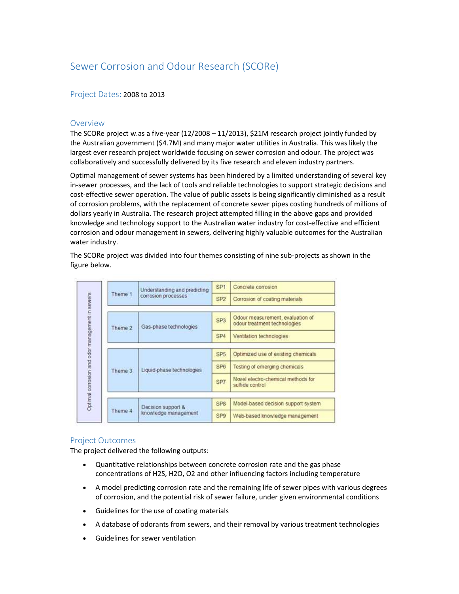# Sewer Corrosion and Odour Research (SCORe)

# Project Dates: 2008 to 2013

### Overview

The SCORe project w.as a five-year (12/2008 – 11/2013), \$21M research project jointly funded by the Australian government (\$4.7M) and many major water utilities in Australia. This was likely the largest ever research project worldwide focusing on sewer corrosion and odour. The project was collaboratively and successfully delivered by its five research and eleven industry partners.

Optimal management of sewer systems has been hindered by a limited understanding of several key in-sewer processes, and the lack of tools and reliable technologies to support strategic decisions and cost-effective sewer operation. The value of public assets is being significantly diminished as a result of corrosion problems, with the replacement of concrete sewer pipes costing hundreds of millions of dollars yearly in Australia. The research project attempted filling in the above gaps and provided knowledge and technology support to the Australian water industry for cost-effective and efficient corrosion and odour management in sewers, delivering highly valuable outcomes for the Australian water industry.

The SCORe project was divided into four themes consisting of nine sub-projects as shown in the figure below.

| Theme 1 | Understanding and predicting<br>corrosion processes | SP <sub>1</sub> | Concrete corrosion                                               |
|---------|-----------------------------------------------------|-----------------|------------------------------------------------------------------|
|         |                                                     | SP <sub>2</sub> | Corrosion of coating materials                                   |
| Theme 2 | Gas-phase technologies                              | SP <sub>3</sub> | Odour measurement, evaluation of<br>odour treatment technologies |
|         |                                                     | SP <sub>4</sub> | Ventilation technologies                                         |
| Theme 3 | Liquid-phase technologies                           | SP <sub>5</sub> | Optimized use of existing chemicals                              |
|         |                                                     | SP6             | Testing of emerging chemicals                                    |
|         |                                                     | SP7             | Novel electro-chemical methods for<br>sulfide control            |
| Theme 4 | Decision support &<br>knowledge management          | SP <sub>8</sub> | Model-based decision support system                              |
|         |                                                     | SP <sub>9</sub> | Web-based knowledge management                                   |
|         |                                                     |                 |                                                                  |

# Project Outcomes

The project delivered the following outputs:

- Quantitative relationships between concrete corrosion rate and the gas phase concentrations of H2S, H2O, O2 and other influencing factors including temperature
- A model predicting corrosion rate and the remaining life of sewer pipes with various degrees of corrosion, and the potential risk of sewer failure, under given environmental conditions
- Guidelines for the use of coating materials
- A database of odorants from sewers, and their removal by various treatment technologies
- Guidelines for sewer ventilation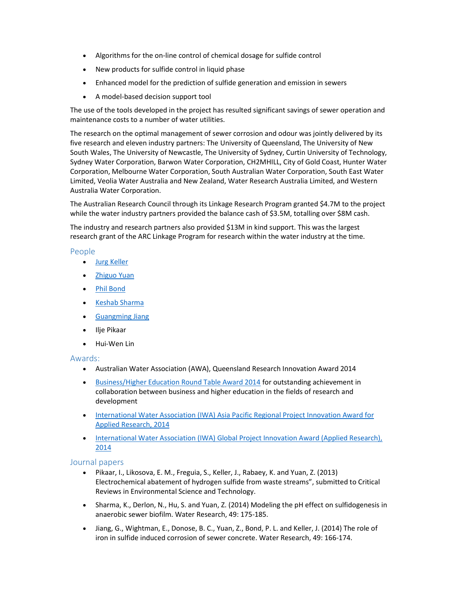- Algorithms for the on-line control of chemical dosage for sulfide control
- New products for sulfide control in liquid phase
- Enhanced model for the prediction of sulfide generation and emission in sewers
- A model-based decision support tool

The use of the tools developed in the project has resulted significant savings of sewer operation and maintenance costs to a number of water utilities.

The research on the optimal management of sewer corrosion and odour was jointly delivered by its five research and eleven industry partners: The University of Queensland, The University of New South Wales, The University of Newcastle, The University of Sydney, Curtin University of Technology, Sydney Water Corporation, Barwon Water Corporation, CH2MHILL, City of Gold Coast, Hunter Water Corporation, Melbourne Water Corporation, South Australian Water Corporation, South East Water Limited, Veolia Water Australia and New Zealand, Water Research Australia Limited, and Western Australia Water Corporation.

The Australian Research Council through its Linkage Research Program granted \$4.7M to the project while the water industry partners provided the balance cash of \$3.5M, totalling over \$8M cash.

The industry and research partners also provided \$13M in kind support. This was the largest research grant of the ARC Linkage Program for research within the water industry at the time.

### People

- Jurg Keller
- Zhiguo Yuan
- Phil Bond
- Keshab Sharma
- Guangming Jiang
- Ilje Pikaar
- Hui-Wen Lin

Awards:

- Australian Water Association (AWA), Queensland Research Innovation Award 2014
- Business/Higher Education Round Table Award 2014 for outstanding achievement in collaboration between business and higher education in the fields of research and development
- International Water Association (IWA) Asia Pacific Regional Project Innovation Award for Applied Research, 2014
- International Water Association (IWA) Global Project Innovation Award (Applied Research), 2014

#### Journal papers

- Pikaar, I., Likosova, E. M., Freguia, S., Keller, J., Rabaey, K. and Yuan, Z. (2013) Electrochemical abatement of hydrogen sulfide from waste streams", submitted to Critical Reviews in Environmental Science and Technology.
- Sharma, K., Derlon, N., Hu, S. and Yuan, Z. (2014) Modeling the pH effect on sulfidogenesis in anaerobic sewer biofilm. Water Research, 49: 175-185.
- Jiang, G., Wightman, E., Donose, B. C., Yuan, Z., Bond, P. L. and Keller, J. (2014) The role of iron in sulfide induced corrosion of sewer concrete. Water Research, 49: 166-174.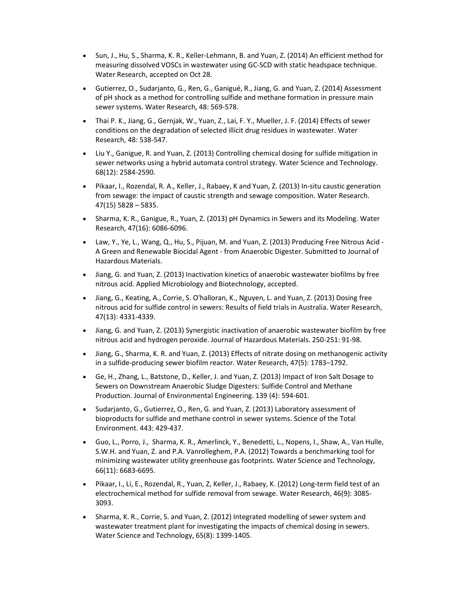- Sun, J., Hu, S., Sharma, K. R., Keller-Lehmann, B. and Yuan, Z. (2014) An efficient method for measuring dissolved VOSCs in wastewater using GC-SCD with static headspace technique. Water Research, accepted on Oct 28.
- Gutierrez, O., Sudarjanto, G., Ren, G., Ganigué, R., Jiang, G. and Yuan, Z. (2014) Assessment of pH shock as a method for controlling sulfide and methane formation in pressure main sewer systems. Water Research, 48: 569-578.
- Thai P. K., Jiang, G., Gernjak, W., Yuan, Z., Lai, F. Y., Mueller, J. F. (2014) Effects of sewer conditions on the degradation of selected illicit drug residues in wastewater. Water Research, 48: 538-547.
- Liu Y., Ganigue, R. and Yuan, Z. (2013) Controlling chemical dosing for sulfide mitigation in sewer networks using a hybrid automata control strategy. Water Science and Technology. 68(12): 2584-2590.
- Pikaar, I., Rozendal, R. A., Keller, J., Rabaey, K and Yuan, Z. (2013) In-situ caustic generation from sewage: the impact of caustic strength and sewage composition. Water Research. 47(15) 5828 – 5835.
- Sharma, K. R., Ganigue, R., Yuan, Z. (2013) pH Dynamics in Sewers and its Modeling. Water Research, 47(16): 6086-6096.
- Law, Y., Ye, L., Wang, Q., Hu, S., Pijuan, M. and Yuan, Z. (2013) Producing Free Nitrous Acid A Green and Renewable Biocidal Agent - from Anaerobic Digester. Submitted to Journal of Hazardous Materials.
- Jiang, G. and Yuan, Z. (2013) Inactivation kinetics of anaerobic wastewater biofilms by free nitrous acid. Applied Microbiology and Biotechnology, accepted.
- Jiang, G., Keating, A., Corrie, S. O'halloran, K., Nguyen, L. and Yuan, Z. (2013) Dosing free nitrous acid for sulfide control in sewers: Results of field trials in Australia. Water Research, 47(13): 4331-4339.
- Jiang, G. and Yuan, Z. (2013) Synergistic inactivation of anaerobic wastewater biofilm by free nitrous acid and hydrogen peroxide. Journal of Hazardous Materials. 250-251: 91-98.
- Jiang, G., Sharma, K. R. and Yuan, Z. (2013) Effects of nitrate dosing on methanogenic activity in a sulfide-producing sewer biofilm reactor. Water Research, 47(5): 1783–1792.
- Ge, H., Zhang, L., Batstone, D., Keller, J. and Yuan, Z. (2013) Impact of Iron Salt Dosage to Sewers on Downstream Anaerobic Sludge Digesters: Sulfide Control and Methane Production. Journal of Environmental Engineering. 139 (4): 594-601.
- Sudarjanto, G., Gutierrez, O., Ren, G. and Yuan, Z. (2013) Laboratory assessment of bioproducts for sulfide and methane control in sewer systems. Science of the Total Environment. 443: 429-437.
- Guo, L., Porro, J., Sharma, K. R., Amerlinck, Y., Benedetti, L., Nopens, I., Shaw, A., Van Hulle, S.W.H. and Yuan, Z. and P.A. Vanrolleghem, P.A. (2012) Towards a benchmarking tool for minimizing wastewater utility greenhouse gas footprints. Water Science and Technology, 66(11): 6683-6695.
- Pikaar, I., Li, E., Rozendal, R., Yuan, Z, Keller, J., Rabaey, K. (2012) Long-term field test of an electrochemical method for sulfide removal from sewage. Water Research, 46(9): 3085- 3093.
- Sharma, K. R., Corrie, S. and Yuan, Z. (2012) Integrated modelling of sewer system and wastewater treatment plant for investigating the impacts of chemical dosing in sewers. Water Science and Technology, 65(8): 1399-1405.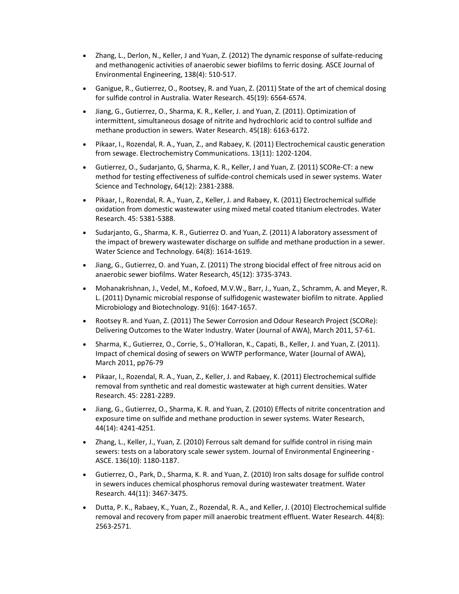- Zhang, L., Derlon, N., Keller, J and Yuan, Z. (2012) The dynamic response of sulfate-reducing and methanogenic activities of anaerobic sewer biofilms to ferric dosing. ASCE Journal of Environmental Engineering, 138(4): 510-517.
- Ganigue, R., Gutierrez, O., Rootsey, R. and Yuan, Z. (2011) State of the art of chemical dosing for sulfide control in Australia. Water Research. 45(19): 6564-6574.
- Jiang, G., Gutierrez, O., Sharma, K. R., Keller, J. and Yuan, Z. (2011). Optimization of intermittent, simultaneous dosage of nitrite and hydrochloric acid to control sulfide and methane production in sewers. Water Research. 45(18): 6163-6172.
- Pikaar, I., Rozendal, R. A., Yuan, Z., and Rabaey, K. (2011) Electrochemical caustic generation from sewage. Electrochemistry Communications. 13(11): 1202-1204.
- Gutierrez, O., Sudarjanto, G, Sharma, K. R., Keller, J and Yuan, Z. (2011) SCORe-CT: a new method for testing effectiveness of sulfide-control chemicals used in sewer systems. Water Science and Technology, 64(12): 2381-2388.
- Pikaar, I., Rozendal, R. A., Yuan, Z., Keller, J. and Rabaey, K. (2011) Electrochemical sulfide oxidation from domestic wastewater using mixed metal coated titanium electrodes. Water Research. 45: 5381-5388.
- Sudarjanto, G., Sharma, K. R., Gutierrez O. and Yuan, Z. (2011) A laboratory assessment of the impact of brewery wastewater discharge on sulfide and methane production in a sewer. Water Science and Technology. 64(8): 1614-1619.
- Jiang, G., Gutierrez, O. and Yuan, Z. (2011) The strong biocidal effect of free nitrous acid on anaerobic sewer biofilms. Water Research, 45(12): 3735-3743.
- Mohanakrishnan, J., Vedel, M., Kofoed, M.V.W., Barr, J., Yuan, Z., Schramm, A. and Meyer, R. L. (2011) Dynamic microbial response of sulfidogenic wastewater biofilm to nitrate. Applied Microbiology and Biotechnology. 91(6): 1647-1657.
- Rootsey R. and Yuan, Z. (2011) The Sewer Corrosion and Odour Research Project (SCORe): Delivering Outcomes to the Water Industry. Water (Journal of AWA), March 2011, 57-61.
- Sharma, K., Gutierrez, O., Corrie, S., O'Halloran, K., Capati, B., Keller, J. and Yuan, Z. (2011). Impact of chemical dosing of sewers on WWTP performance, Water (Journal of AWA), March 2011, pp76-79
- Pikaar, I., Rozendal, R. A., Yuan, Z., Keller, J. and Rabaey, K. (2011) Electrochemical sulfide removal from synthetic and real domestic wastewater at high current densities. Water Research. 45: 2281-2289.
- Jiang, G., Gutierrez, O., Sharma, K. R. and Yuan, Z. (2010) Effects of nitrite concentration and exposure time on sulfide and methane production in sewer systems. Water Research, 44(14): 4241-4251.
- Zhang, L., Keller, J., Yuan, Z. (2010) Ferrous salt demand for sulfide control in rising main sewers: tests on a laboratory scale sewer system. Journal of Environmental Engineering - ASCE. 136(10): 1180-1187.
- Gutierrez, O., Park, D., Sharma, K. R. and Yuan, Z. (2010) Iron salts dosage for sulfide control in sewers induces chemical phosphorus removal during wastewater treatment. Water Research. 44(11): 3467-3475.
- Dutta, P. K., Rabaey, K., Yuan, Z., Rozendal, R. A., and Keller, J. (2010) Electrochemical sulfide removal and recovery from paper mill anaerobic treatment effluent. Water Research. 44(8): 2563-2571.